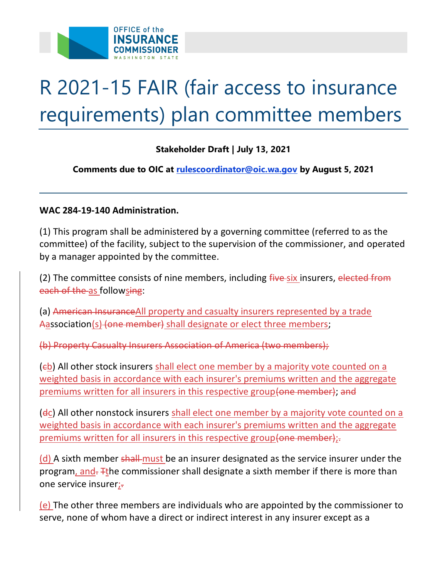

## R 2021-15 FAIR (fair access to insurance requirements) plan committee members

## **Stakeholder Draft | July 13, 2021**

 **Comments due to OIC at [rulescoordinator@oic.wa.gov](mailto:rulescoordinator@oic.wa.gov) by August 5, 2021** 

## **WAC 284-19-140 Administration.**

(1) This program shall be administered by a governing committee (referred to as the committee) of the facility, subject to the supervision of the commissioner, and operated by a manager appointed by the committee.

(2) The committee consists of nine members, including *five-six* insurers, elected from each of the as followsing:

(a) American InsuranceAll property and casualty insurers represented by a trade Aassociation(s) (one member) shall designate or elect three members;

(b) Property Casualty Insurers Association of America (two members);

(cb) All other stock insurers shall elect one member by a majority vote counted on a weighted basis in accordance with each insurer's premiums written and the aggregate premiums written for all insurers in this respective group (one member); and

(dc) All other nonstock insurers shall elect one member by a majority vote counted on a weighted basis in accordance with each insurer's premiums written and the aggregate premiums written for all insurers in this respective group (one member);

program<u>, and- <sub>Ft</sub>he commissioner shall desig</u>nate a sixth member if there is more than  $(d)$  A sixth member shall-must be an insurer designated as the service insurer under the one service insurer;-

(e) The other three members are individuals who are appointed by the commissioner to serve, none of whom have a direct or indirect interest in any insurer except as a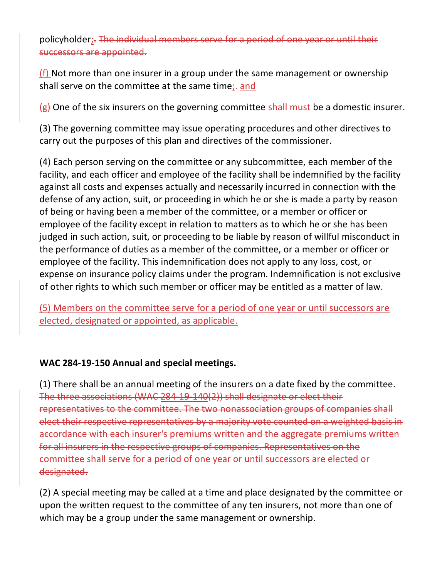policyholder;. The individual members serve for a period successors are appointed.

 $(f)$  Not more than one insurer in a group under the same management or ownership shall serve on the committee at the same time;- and

 $(g)$  One of the six insurers on the governing committee shall must be a domestic insurer.

(3) The governing committee may issue operating procedures and other directives to carry out the purposes of this plan and directives of the commissioner.

 facility, and each officer and employee of the facility shall be indemnified by the facility (4) Each person serving on the committee or any subcommittee, each member of the against all costs and expenses actually and necessarily incurred in connection with the defense of any action, suit, or proceeding in which he or she is made a party by reason of being or having been a member of the committee, or a member or officer or employee of the facility except in relation to matters as to which he or she has been judged in such action, suit, or proceeding to be liable by reason of willful misconduct in the performance of duties as a member of the committee, or a member or officer or employee of the facility. This indemnification does not apply to any loss, cost, or expense on insurance policy claims under the program. Indemnification is not exclusive of other rights to which such member or officer may be entitled as a matter of law.

(5) Members on the committee serve for a period of one year or until successors are elected, designated or appointed, as applicable.

## **WAC 284-19-150 Annual and special meetings.**

(1) There shall be an annual meeting of the insurers on a date fixed by the committee. The three associations (WAC 284-19-140(2)) shall designate or elect their representatives to the committee. The two nonassociation groups of companies shall elect their respective representatives by a majority vote counted on a weighted basis in accordance with each insurer's premiums written and the aggregate premiums written for all insurers in the respective groups of companies. Representatives on the committee shall serve for a period of one year or until successors are elected or designated.

(2) A special meeting may be called at a time and place designated by the committee or upon the written request to the committee of any ten insurers, not more than one of which may be a group under the same management or ownership.